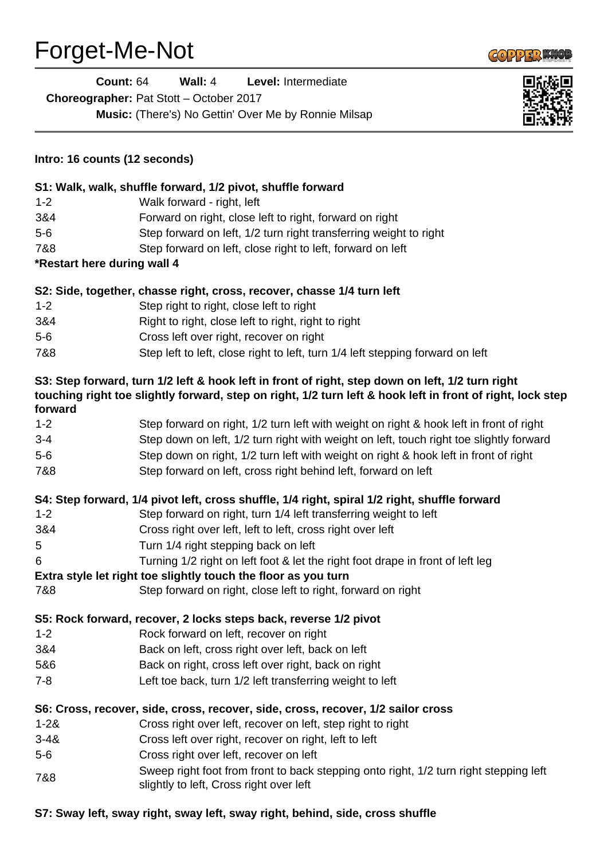## Forget-Me-Not



| Forget-Me-Not                 |                                                                                                                                                                                                                |
|-------------------------------|----------------------------------------------------------------------------------------------------------------------------------------------------------------------------------------------------------------|
| <b>Count: 64</b>              | Wall: $4$<br>Level: Intermediate                                                                                                                                                                               |
|                               | Choreographer: Pat Stott - October 2017                                                                                                                                                                        |
|                               | Music: (There's) No Gettin' Over Me by Ronnie Milsap                                                                                                                                                           |
|                               |                                                                                                                                                                                                                |
| Intro: 16 counts (12 seconds) |                                                                                                                                                                                                                |
|                               | S1: Walk, walk, shuffle forward, 1/2 pivot, shuffle forward                                                                                                                                                    |
| $1 - 2$                       | Walk forward - right, left                                                                                                                                                                                     |
| 3&4                           | Forward on right, close left to right, forward on right                                                                                                                                                        |
| $5-6$                         | Step forward on left, 1/2 turn right transferring weight to right                                                                                                                                              |
| 7&8                           | Step forward on left, close right to left, forward on left                                                                                                                                                     |
| *Restart here during wall 4   |                                                                                                                                                                                                                |
|                               | S2: Side, together, chasse right, cross, recover, chasse 1/4 turn left                                                                                                                                         |
| $1 - 2$                       | Step right to right, close left to right                                                                                                                                                                       |
| 3&4                           | Right to right, close left to right, right to right                                                                                                                                                            |
| $5-6$                         | Cross left over right, recover on right                                                                                                                                                                        |
| 7&8                           | Step left to left, close right to left, turn 1/4 left stepping forward on left                                                                                                                                 |
| forward                       | S3: Step forward, turn 1/2 left & hook left in front of right, step down on left, 1/2 turn right<br>touching right toe slightly forward, step on right, 1/2 turn left & hook left in front of right, lock step |
| $1 - 2$                       | Step forward on right, 1/2 turn left with weight on right & hook left in front of right                                                                                                                        |
| $3 - 4$                       | Step down on left, 1/2 turn right with weight on left, touch right toe slightly forward                                                                                                                        |
| $5-6$                         | Step down on right, 1/2 turn left with weight on right & hook left in front of right                                                                                                                           |
| 7&8                           | Step forward on left, cross right behind left, forward on left                                                                                                                                                 |
|                               | S4: Step forward, 1/4 pivot left, cross shuffle, 1/4 right, spiral 1/2 right, shuffle forward                                                                                                                  |
| $1 - 2$                       | Step forward on right, turn 1/4 left transferring weight to left                                                                                                                                               |
| 3&4                           | Cross right over left, left to left, cross right over left                                                                                                                                                     |
| 5                             | Turn 1/4 right stepping back on left                                                                                                                                                                           |
| 6                             | Turning 1/2 right on left foot & let the right foot drape in front of left leg                                                                                                                                 |
|                               | Extra style let right toe slightly touch the floor as you turn                                                                                                                                                 |
| 7&8                           | Step forward on right, close left to right, forward on right                                                                                                                                                   |
|                               | S5: Rock forward, recover, 2 locks steps back, reverse 1/2 pivot                                                                                                                                               |
| $1 - 2$                       | Rock forward on left, recover on right                                                                                                                                                                         |
| 3&4                           | Back on left, cross right over left, back on left                                                                                                                                                              |
| 5&6                           | Back on right, cross left over right, back on right                                                                                                                                                            |
| $7 - 8$                       | Left toe back, turn 1/2 left transferring weight to left                                                                                                                                                       |
|                               | S6: Cross, recover, side, cross, recover, side, cross, recover, 1/2 sailor cross                                                                                                                               |
| $1 - 28$                      | Cross right over left, recover on left, step right to right                                                                                                                                                    |
| $3 - 48$                      | Cross left over right, recover on right, left to left                                                                                                                                                          |
| $5-6$                         | Cross right over left, recover on left                                                                                                                                                                         |
| 7&8                           | Sweep right foot from front to back stepping onto right, 1/2 turn right stepping left<br>slightly to left, Cross right over left                                                                               |

## **S7: Sway left, sway right, sway left, sway right, behind, side, cross shuffle**